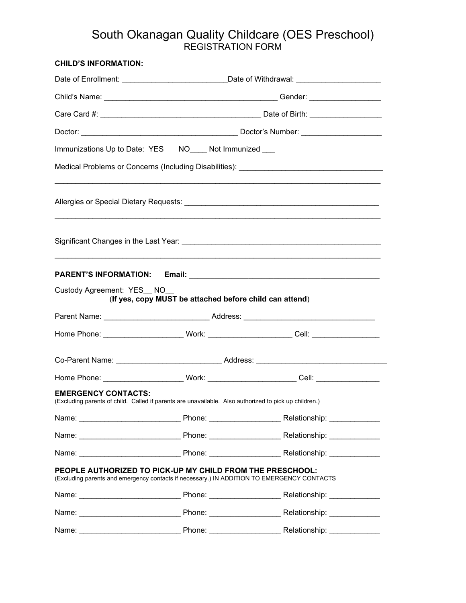# South Okanagan Quality Childcare (OES Preschool) REGISTRATION FORM

| <b>CHILD'S INFORMATION:</b> |                                                                                                                                                         |                                                                                              |  |  |  |
|-----------------------------|---------------------------------------------------------------------------------------------------------------------------------------------------------|----------------------------------------------------------------------------------------------|--|--|--|
|                             |                                                                                                                                                         | Date of Enrollment: ______________________________Date of Withdrawal: _____________________  |  |  |  |
|                             |                                                                                                                                                         |                                                                                              |  |  |  |
|                             |                                                                                                                                                         |                                                                                              |  |  |  |
|                             |                                                                                                                                                         |                                                                                              |  |  |  |
|                             | Immunizations Up to Date: YES___NO____ Not Immunized ___                                                                                                |                                                                                              |  |  |  |
|                             |                                                                                                                                                         |                                                                                              |  |  |  |
|                             |                                                                                                                                                         |                                                                                              |  |  |  |
|                             |                                                                                                                                                         |                                                                                              |  |  |  |
|                             |                                                                                                                                                         |                                                                                              |  |  |  |
| Custody Agreement: YES NO   | (If yes, copy MUST be attached before child can attend)                                                                                                 |                                                                                              |  |  |  |
|                             |                                                                                                                                                         |                                                                                              |  |  |  |
|                             |                                                                                                                                                         | Home Phone: ______________________ Work: ______________________ Cell: _________________      |  |  |  |
|                             |                                                                                                                                                         |                                                                                              |  |  |  |
|                             |                                                                                                                                                         | Home Phone: _______________________ Work: _________________________Cell: ___________________ |  |  |  |
| <b>EMERGENCY CONTACTS:</b>  | (Excluding parents of child. Called if parents are unavailable. Also authorized to pick up children.)                                                   |                                                                                              |  |  |  |
|                             |                                                                                                                                                         |                                                                                              |  |  |  |
|                             |                                                                                                                                                         |                                                                                              |  |  |  |
|                             |                                                                                                                                                         |                                                                                              |  |  |  |
|                             | PEOPLE AUTHORIZED TO PICK-UP MY CHILD FROM THE PRESCHOOL:<br>(Excluding parents and emergency contacts if necessary.) IN ADDITION TO EMERGENCY CONTACTS |                                                                                              |  |  |  |
|                             |                                                                                                                                                         |                                                                                              |  |  |  |
|                             |                                                                                                                                                         |                                                                                              |  |  |  |
|                             |                                                                                                                                                         |                                                                                              |  |  |  |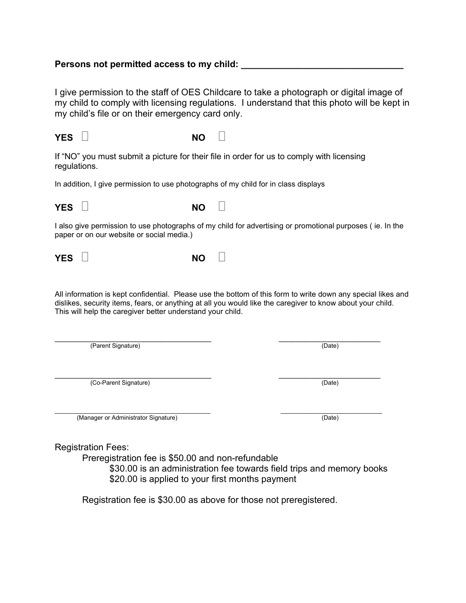## Persons not permitted access to my child:

I give permission to the staff of OES Childcare to take a photograph or digital image of my child to comply with licensing regulations. I understand that this photo will be kept in my child's file or on their emergency card only.

## **YES**  $\vert \vert$  **NO**  $\vert \vert$

If "NO" you must submit a picture for their file in order for us to comply with licensing regulations.

In addition, I give permission to use photographs of my child for in class displays



I also give permission to use photographs of my child for advertising or promotional purposes ( ie. In the paper or on our website or social media.)

**YES D NO NO NO** 

All information is kept confidential. Please use the bottom of this form to write down any special likes and dislikes, security items, fears, or anything at all you would like the caregiver to know about your child. This will help the caregiver better understand your child.

\_\_\_\_\_\_\_\_\_\_\_\_\_\_\_\_\_\_\_\_\_\_\_\_\_\_\_\_\_\_\_\_\_\_\_\_\_ \_\_\_\_\_\_\_\_\_\_\_\_\_\_\_\_\_\_\_\_\_\_\_\_ (Parent Signature) (Date)

 $\frac{1}{2}$  ,  $\frac{1}{2}$  ,  $\frac{1}{2}$  ,  $\frac{1}{2}$  ,  $\frac{1}{2}$  ,  $\frac{1}{2}$  ,  $\frac{1}{2}$  ,  $\frac{1}{2}$  ,  $\frac{1}{2}$  ,  $\frac{1}{2}$  ,  $\frac{1}{2}$  ,  $\frac{1}{2}$  ,  $\frac{1}{2}$  ,  $\frac{1}{2}$  ,  $\frac{1}{2}$  ,  $\frac{1}{2}$  ,  $\frac{1}{2}$  ,  $\frac{1}{2}$  ,  $\frac{1$ (Co-Parent Signature) (Date)

 $\_$ (Manager or Administrator Signature) (Date)

Registration Fees:

Preregistration fee is \$50.00 and non-refundable

\$30.00 is an administration fee towards field trips and memory books \$20.00 is applied to your first months payment

Registration fee is \$30.00 as above for those not preregistered.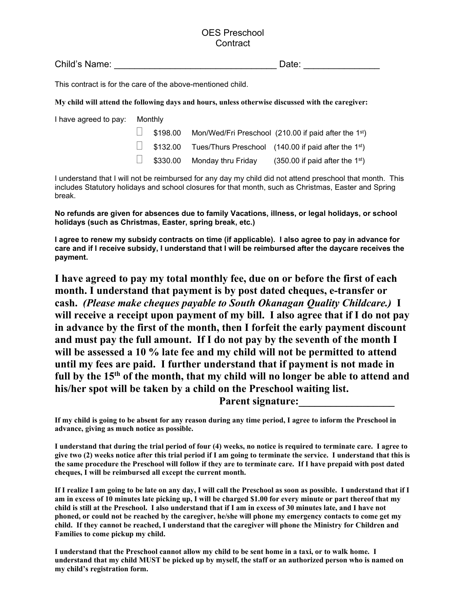## OES Preschool **Contract**

Child's Name: \_\_\_\_\_\_\_\_\_\_\_\_\_\_\_\_\_\_\_\_\_\_\_\_\_\_\_\_\_\_\_\_ Date: \_\_\_\_\_\_\_\_\_\_\_\_\_\_\_

This contract is for the care of the above-mentioned child.

**My child will attend the following days and hours, unless otherwise discussed with the caregiver:**

| I have agreed to pay: Monthly |  |                                    |                                                                      |
|-------------------------------|--|------------------------------------|----------------------------------------------------------------------|
|                               |  |                                    | $\Box$ \$198.00 Mon/Wed/Fri Preschool (210.00 if paid after the 1st) |
|                               |  |                                    | $\Box$ \$132.00 Tues/Thurs Preschool (140.00 if paid after the 1st)  |
|                               |  | $\Box$ \$330.00 Monday thru Friday | $(350.00$ if paid after the 1 <sup>st</sup> )                        |

I understand that I will not be reimbursed for any day my child did not attend preschool that month. This includes Statutory holidays and school closures for that month, such as Christmas, Easter and Spring break.

**No refunds are given for absences due to family Vacations, illness, or legal holidays, or school holidays (such as Christmas, Easter, spring break, etc.)**

**I agree to renew my subsidy contracts on time (if applicable). I also agree to pay in advance for care and if I receive subsidy, I understand that I will be reimbursed after the daycare receives the payment.**

**I have agreed to pay my total monthly fee, due on or before the first of each month. I understand that payment is by post dated cheques, e-transfer or cash.** *(Please make cheques payable to South Okanagan Quality Childcare.)* **I will receive a receipt upon payment of my bill. I also agree that if I do not pay in advance by the first of the month, then I forfeit the early payment discount and must pay the full amount. If I do not pay by the seventh of the month I will be assessed a 10 % late fee and my child will not be permitted to attend until my fees are paid. I further understand that if payment is not made in full by the 15th of the month, that my child will no longer be able to attend and his/her spot will be taken by a child on the Preschool waiting list.** Parent signature:

**If my child is going to be absent for any reason during any time period, I agree to inform the Preschool in advance, giving as much notice as possible.**

**I understand that during the trial period of four (4) weeks, no notice is required to terminate care. I agree to give two (2) weeks notice after this trial period if I am going to terminate the service. I understand that this is the same procedure the Preschool will follow if they are to terminate care. If I have prepaid with post dated cheques, I will be reimbursed all except the current month.** 

**If I realize I am going to be late on any day, I will call the Preschool as soon as possible. I understand that if I am in excess of 10 minutes late picking up, I will be charged \$1.00 for every minute or part thereof that my child is still at the Preschool. I also understand that if I am in excess of 30 minutes late, and I have not phoned, or could not be reached by the caregiver, he/she will phone my emergency contacts to come get my child. If they cannot be reached, I understand that the caregiver will phone the Ministry for Children and Families to come pickup my child.**

**I understand that the Preschool cannot allow my child to be sent home in a taxi, or to walk home. I understand that my child MUST be picked up by myself, the staff or an authorized person who is named on my child's registration form.**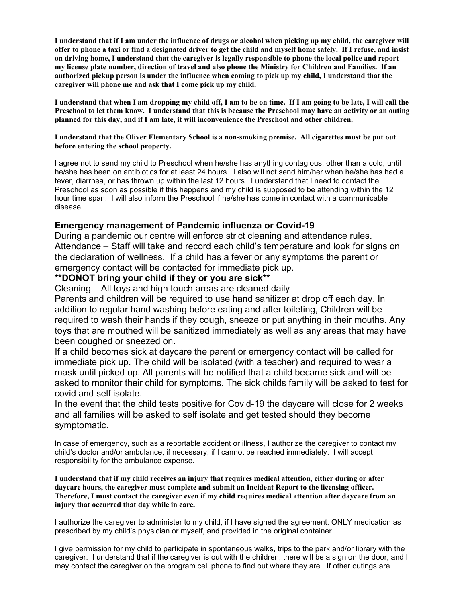**I understand that if I am under the influence of drugs or alcohol when picking up my child, the caregiver will offer to phone a taxi or find a designated driver to get the child and myself home safely. If I refuse, and insist on driving home, I understand that the caregiver is legally responsible to phone the local police and report my license plate number, direction of travel and also phone the Ministry for Children and Families. If an authorized pickup person is under the influence when coming to pick up my child, I understand that the caregiver will phone me and ask that I come pick up my child.**

**I understand that when I am dropping my child off, I am to be on time. If I am going to be late, I will call the Preschool to let them know. I understand that this is because the Preschool may have an activity or an outing planned for this day, and if I am late, it will inconvenience the Preschool and other children.**

**I understand that the Oliver Elementary School is a non-smoking premise. All cigarettes must be put out before entering the school property.**

I agree not to send my child to Preschool when he/she has anything contagious, other than a cold, until he/she has been on antibiotics for at least 24 hours. I also will not send him/her when he/she has had a fever, diarrhea, or has thrown up within the last 12 hours. I understand that I need to contact the Preschool as soon as possible if this happens and my child is supposed to be attending within the 12 hour time span. I will also inform the Preschool if he/she has come in contact with a communicable disease.

## **Emergency management of Pandemic influenza or Covid-19**

During a pandemic our centre will enforce strict cleaning and attendance rules. Attendance – Staff will take and record each child's temperature and look for signs on the declaration of wellness. If a child has a fever or any symptoms the parent or emergency contact will be contacted for immediate pick up.

## **\*\*DONOT bring your child if they or you are sick\*\***

Cleaning – All toys and high touch areas are cleaned daily

Parents and children will be required to use hand sanitizer at drop off each day. In addition to regular hand washing before eating and after toileting, Children will be required to wash their hands if they cough, sneeze or put anything in their mouths. Any toys that are mouthed will be sanitized immediately as well as any areas that may have been coughed or sneezed on.

If a child becomes sick at daycare the parent or emergency contact will be called for immediate pick up. The child will be isolated (with a teacher) and required to wear a mask until picked up. All parents will be notified that a child became sick and will be asked to monitor their child for symptoms. The sick childs family will be asked to test for covid and self isolate.

In the event that the child tests positive for Covid-19 the daycare will close for 2 weeks and all families will be asked to self isolate and get tested should they become symptomatic.

In case of emergency, such as a reportable accident or illness, I authorize the caregiver to contact my child's doctor and/or ambulance, if necessary, if I cannot be reached immediately. I will accept responsibility for the ambulance expense.

**I understand that if my child receives an injury that requires medical attention, either during or after daycare hours, the caregiver must complete and submit an Incident Report to the licensing officer. Therefore, I must contact the caregiver even if my child requires medical attention after daycare from an injury that occurred that day while in care.**

I authorize the caregiver to administer to my child, if I have signed the agreement, ONLY medication as prescribed by my child's physician or myself, and provided in the original container.

I give permission for my child to participate in spontaneous walks, trips to the park and/or library with the caregiver. I understand that if the caregiver is out with the children, there will be a sign on the door, and I may contact the caregiver on the program cell phone to find out where they are. If other outings are